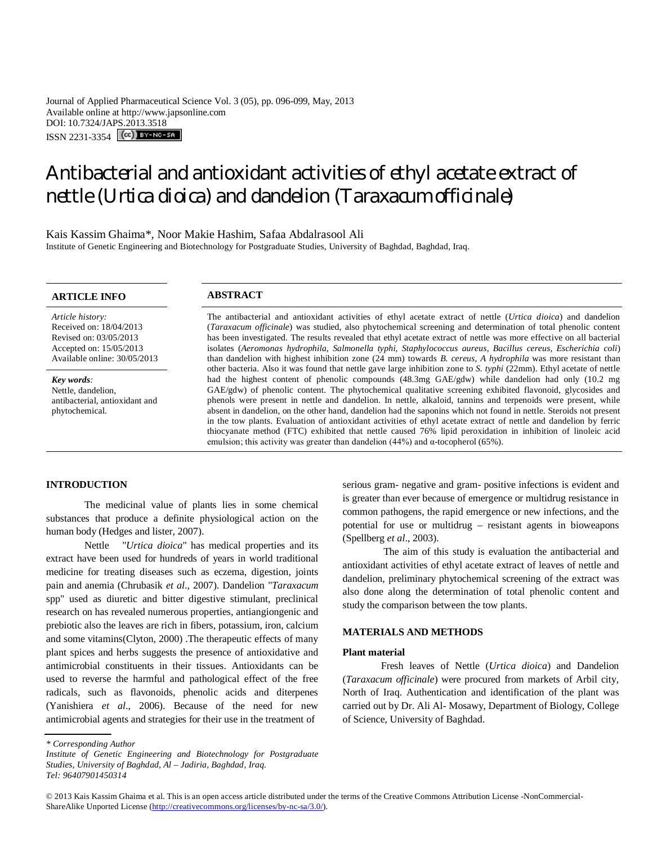Journal of Applied Pharmaceutical Science Vol. 3 (05), pp. 096-099, May, 2013 Available online at http://www.japsonline.com DOI: 10.7324/JAPS.2013.3518 ISSN 2231-3354 (CC) BY-NO-58

# Antibacterial and antioxidant activities of ethyl acetate extract of nettle (*Urtica dioica*) and dandelion (*Taraxacum officinale*)

Kais Kassim Ghaima\*, Noor Makie Hashim, Safaa Abdalrasool Ali Institute of Genetic Engineering and Biotechnology for Postgraduate Studies, University of Baghdad, Baghdad, Iraq.

# **ARTICLE INFO ABSTRACT**

*Article history:* Received on: 18/04/2013 Revised on: 03/05/2013 Accepted on: 15/05/2013 Available online: 30/05/2013

*Key words:*  Nettle, dandelion, antibacterial, antioxidant and phytochemical.

The antibacterial and antioxidant activities of ethyl acetate extract of nettle (*Urtica dioica*) and dandelion (*Taraxacum officinale*) was studied, also phytochemical screening and determination of total phenolic content has been investigated. The results revealed that ethyl acetate extract of nettle was more effective on all bacterial isolates (*Aeromonas hydrophila, Salmonella typhi, Staphylococcus aureus, Bacillus cereus, Escherichia coli*) than dandelion with highest inhibition zone (24 mm) towards *B. cereus, A hydrophila* was more resistant than other bacteria. Also it was found that nettle gave large inhibition zone to *S. typhi* (22mm). Ethyl acetate of nettle had the highest content of phenolic compounds (48.3mg GAE/gdw) while dandelion had only (10.2 mg GAE/gdw) of phenolic content. The phytochemical qualitative screening exhibited flavonoid, glycosides and phenols were present in nettle and dandelion. In nettle, alkaloid, tannins and terpenoids were present, while absent in dandelion, on the other hand, dandelion had the saponins which not found in nettle. Steroids not present in the tow plants. Evaluation of antioxidant activities of ethyl acetate extract of nettle and dandelion by ferric thiocyanate method (FTC) exhibited that nettle caused 76% lipid peroxidation in inhibition of linoleic acid emulsion; this activity was greater than dandelion  $(44%)$  and  $\alpha$ -tocopherol (65%).

# **INTRODUCTION**

The medicinal value of plants lies in some chemical substances that produce a definite physiological action on the human body (Hedges and lister, 2007).

Nettle "*Urtica dioica*" has medical properties and its extract have been used for hundreds of years in world traditional medicine for treating diseases such as eczema, digestion, joints pain and anemia (Chrubasik *et al*., 2007). Dandelion "*Taraxacum* spp" used as diuretic and bitter digestive stimulant, preclinical research on has revealed numerous properties, antiangiongenic and prebiotic also the leaves are rich in fibers, potassium, iron, calcium and some vitamins(Clyton, 2000) .The therapeutic effects of many plant spices and herbs suggests the presence of antioxidative and antimicrobial constituents in their tissues. Antioxidants can be used to reverse the harmful and pathological effect of the free radicals, such as flavonoids, phenolic acids and diterpenes (Yanishiera *et al*., 2006). Because of the need for new antimicrobial agents and strategies for their use in the treatment of .

serious gram- negative and gram- positive infections is evident and is greater than ever because of emergence or multidrug resistance in common pathogens, the rapid emergence or new infections, and the potential for use or multidrug – resistant agents in bioweapons (Spellberg *et al*., 2003).

The aim of this study is evaluation the antibacterial and antioxidant activities of ethyl acetate extract of leaves of nettle and dandelion, preliminary phytochemical screening of the extract was also done along the determination of total phenolic content and study the comparison between the tow plants.

# **MATERIALS AND METHODS**

# **Plant material**

Fresh leaves of Nettle (*Urtica dioica*) and Dandelion (*Taraxacum officinale*) were procured from markets of Arbil city, North of Iraq. Authentication and identification of the plant was carried out by Dr. Ali Al- Mosawy, Department of Biology, College of Science, University of Baghdad.

*<sup>\*</sup> Corresponding Author*

*Institute of Genetic Engineering and Biotechnology for Postgraduate Studies, University of Baghdad, Al – Jadiria, Baghdad, Iraq. Tel: 96407901450314*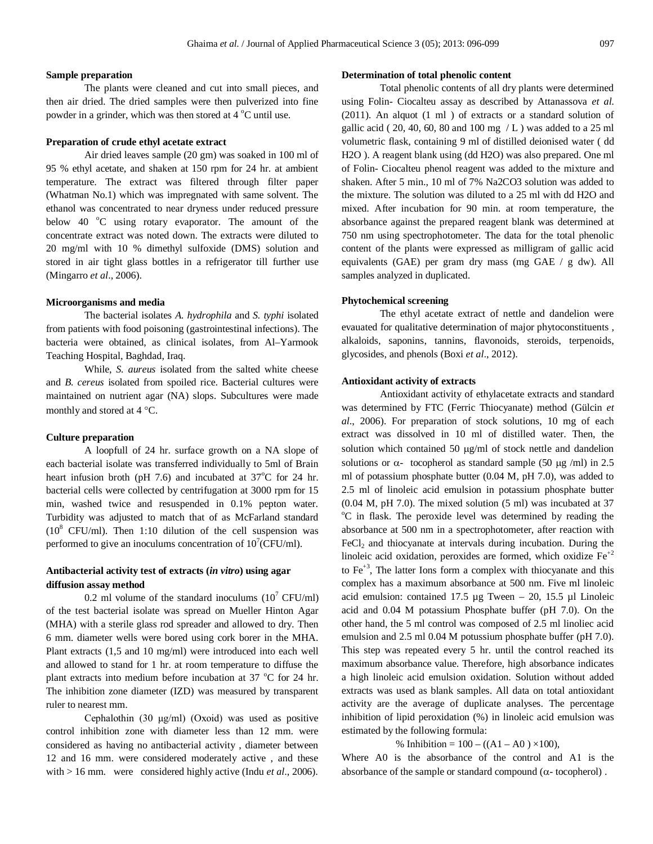# **Sample preparation**

The plants were cleaned and cut into small pieces, and then air dried. The dried samples were then pulverized into fine powder in a grinder, which was then stored at  $4^{\circ}$ C until use.

#### **Preparation of crude ethyl acetate extract**

Air dried leaves sample (20 gm) was soaked in 100 ml of 95 % ethyl acetate, and shaken at 150 rpm for 24 hr. at ambient temperature. The extract was filtered through filter paper (Whatman No.1) which was impregnated with same solvent. The ethanol was concentrated to near dryness under reduced pressure below 40  $^{\circ}$ C using rotary evaporator. The amount of the concentrate extract was noted down. The extracts were diluted to 20 mg/ml with 10 % dimethyl sulfoxide (DMS) solution and stored in air tight glass bottles in a refrigerator till further use (Mingarro *et al*., 2006).

## **Microorganisms and media**

The bacterial isolates *A. hydrophila* and *S. typhi* isolated from patients with food poisoning (gastrointestinal infections). The bacteria were obtained, as clinical isolates, from Al–Yarmook Teaching Hospital, Baghdad, Iraq.

While, *S. aureus* isolated from the salted white cheese and *B. cereus* isolated from spoiled rice. Bacterial cultures were maintained on nutrient agar (NA) slops. Subcultures were made monthly and stored at  $4^{\circ}$ C.

## **Culture preparation**

A loopfull of 24 hr. surface growth on a NA slope of each bacterial isolate was transferred individually to 5ml of Brain heart infusion broth (pH 7.6) and incubated at  $37^{\circ}$ C for 24 hr. bacterial cells were collected by centrifugation at 3000 rpm for 15 min, washed twice and resuspended in 0.1% pepton water. Turbidity was adjusted to match that of as McFarland standard  $(10^8 \text{ CFU/ml})$ . Then 1:10 dilution of the cell suspension was performed to give an inoculums concentration of  $10^7$ (CFU/ml).

# **Antibacterial activity test of extracts (***in vitro***) using agar diffusion assay method**

0.2 ml volume of the standard inoculums  $(10^7 \text{ CFU/ml})$ of the test bacterial isolate was spread on Mueller Hinton Agar (MHA) with a sterile glass rod spreader and allowed to dry. Then 6 mm. diameter wells were bored using cork borer in the MHA. Plant extracts (1,5 and 10 mg/ml) were introduced into each well and allowed to stand for 1 hr. at room temperature to diffuse the plant extracts into medium before incubation at  $37^{\circ}$ C for 24 hr. The inhibition zone diameter (IZD) was measured by transparent ruler to nearest mm.

Cephalothin (30  $\mu$ g/ml) (Oxoid) was used as positive control inhibition zone with diameter less than 12 mm. were considered as having no antibacterial activity , diameter between 12 and 16 mm. were considered moderately active , and these with > 16 mm. were considered highly active (Indu *et al*., 2006).

## **Determination of total phenolic content**

Total phenolic contents of all dry plants were determined using Folin- Ciocalteu assay as described by Attanassova *et al.* (2011). An alquot (1 ml ) of extracts or a standard solution of gallic acid ( $20, 40, 60, 80$  and  $100$  mg  $/L$ ) was added to a 25 ml volumetric flask, containing 9 ml of distilled deionised water ( dd H2O ). A reagent blank using (dd H2O) was also prepared. One ml of Folin- Ciocalteu phenol reagent was added to the mixture and shaken. After 5 min., 10 ml of 7% Na2CO3 solution was added to the mixture. The solution was diluted to a 25 ml with dd H2O and mixed. After incubation for 90 min. at room temperature, the absorbance against the prepared reagent blank was determined at 750 nm using spectrophotometer. The data for the total phenolic content of the plants were expressed as milligram of gallic acid equivalents (GAE) per gram dry mass (mg GAE / g dw). All samples analyzed in duplicated.

# **Phytochemical screening**

The ethyl acetate extract of nettle and dandelion were evauated for qualitative determination of major phytoconstituents , alkaloids, saponins, tannins, flavonoids, steroids, terpenoids, glycosides, and phenols (Boxi *et al*., 2012).

# **Antioxidant activity of extracts**

Antioxidant activity of ethylacetate extracts and standard was determined by FTC (Ferric Thiocyanate) method (Gülcin *et al*., 2006). For preparation of stock solutions, 10 mg of each extract was dissolved in 10 ml of distilled water. Then, the solution which contained 50  $\mu$ g/ml of stock nettle and dandelion solutions or  $\alpha$ - tocopherol as standard sample (50 µg /ml) in 2.5 ml of potassium phosphate butter (0.04 M, pH 7.0), was added to 2.5 ml of linoleic acid emulsion in potassium phosphate butter (0.04 M, pH 7.0). The mixed solution (5 ml) was incubated at 37 <sup>o</sup>C in flask. The peroxide level was determined by reading the absorbance at 500 nm in a spectrophotometer, after reaction with FeCl<sub>2</sub> and thiocyanate at intervals during incubation. During the linoleic acid oxidation, peroxides are formed, which oxidize  $Fe^{+2}$ to  $Fe<sup>+3</sup>$ , The latter Ions form a complex with thiocyanate and this complex has a maximum absorbance at 500 nm. Five ml linoleic acid emulsion: contained 17.5  $\mu$ g Tween - 20, 15.5  $\mu$ l Linoleic acid and 0.04 M potassium Phosphate buffer (pH 7.0). On the other hand, the 5 ml control was composed of 2.5 ml linoliec acid emulsion and 2.5 ml 0.04 M potussium phosphate buffer (pH 7.0). This step was repeated every 5 hr. until the control reached its maximum absorbance value. Therefore, high absorbance indicates a high linoleic acid emulsion oxidation. Solution without added extracts was used as blank samples. All data on total antioxidant activity are the average of duplicate analyses. The percentage inhibition of lipid peroxidation (%) in linoleic acid emulsion was estimated by the following formula:

# % Inhibition =  $100 - ((A1 - A0) \times 100)$ ,

Where A0 is the absorbance of the control and A1 is the absorbance of the sample or standard compound  $(\alpha$ -tocopherol).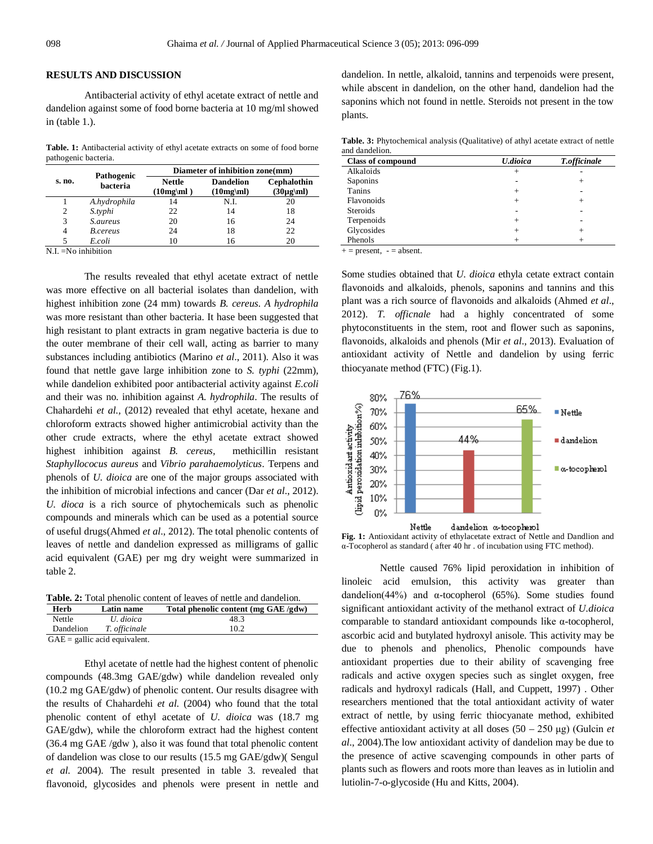#### **RESULTS AND DISCUSSION**

Antibacterial activity of ethyl acetate extract of nettle and dandelion against some of food borne bacteria at 10 mg/ml showed in (table 1.).

Table. 1: Antibacterial activity of ethyl acetate extracts on some of food borne pathogenic bacteria.

| s. no. | Pathogenic<br>bacteria | Diameter of inhibition zone(mm) |                                 |                               |
|--------|------------------------|---------------------------------|---------------------------------|-------------------------------|
|        |                        | <b>Nettle</b><br>$(10mg\mu)$    | <b>Dandelion</b><br>$(10mg\mu)$ | Cephalothin<br>$(30\mu g\mu)$ |
|        | A.hydrophila           | 14                              | N.I.                            | 20                            |
| 2      | S.typhi                | 22                              | 14                              | 18                            |
| 3      | <i>S.aureus</i>        | 20                              | 16                              | 24                            |
| 4      | B.cereus               | 24                              | 18                              | 22                            |
|        | E.coli                 | 10                              | 16                              | 20                            |

 $N.I = No$  inhibition

The results revealed that ethyl acetate extract of nettle was more effective on all bacterial isolates than dandelion, with highest inhibition zone (24 mm) towards *B. cereus. A hydrophila* was more resistant than other bacteria. It hase been suggested that high resistant to plant extracts in gram negative bacteria is due to the outer membrane of their cell wall, acting as barrier to many substances including antibiotics (Marino *et al*., 2011). Also it was found that nettle gave large inhibition zone to *S. typhi* (22mm), while dandelion exhibited poor antibacterial activity against *E.coli* and their was no. inhibition against *A. hydrophila*. The results of Chahardehi *et al.,* (2012) revealed that ethyl acetate, hexane and chloroform extracts showed higher antimicrobial activity than the other crude extracts, where the ethyl acetate extract showed highest inhibition against *B. cereus,* methicillin resistant *Staphyllococus aureus* and *Vibrio parahaemolyticus*. Terpens and phenols of *U. dioica* are one of the major groups associated with the inhibition of microbial infections and cancer (Dar *et al*., 2012). *U. dioca* is a rich source of phytochemicals such as phenolic compounds and minerals which can be used as a potential source of useful drugs(Ahmed *et al*., 2012). The total phenolic contents of leaves of nettle and dandelion expressed as milligrams of gallic acid equivalent (GAE) per mg dry weight were summarized in table 2.

**Table. 2:** Total phenolic content of leaves of nettle and dandelion.

| Herb                           | Latin name    | Total phenolic content (mg GAE /gdw) |  |  |
|--------------------------------|---------------|--------------------------------------|--|--|
| Nettle                         | U. dioica     | 48.3                                 |  |  |
| Dandelion                      | T. officinale | 10.2                                 |  |  |
| $GAF -$ callic acid equivalent |               |                                      |  |  |

GAE = gallic acid equivalent.

Ethyl acetate of nettle had the highest content of phenolic compounds (48.3mg GAE/gdw) while dandelion revealed only (10.2 mg GAE/gdw) of phenolic content. Our results disagree with the results of Chahardehi *et al.* (2004) who found that the total phenolic content of ethyl acetate of *U. dioica* was (18.7 mg GAE/gdw), while the chloroform extract had the highest content (36.4 mg GAE /gdw ), also it was found that total phenolic content of dandelion was close to our results (15.5 mg GAE/gdw)( Sengul *et al.* 2004). The result presented in table 3. revealed that flavonoid, glycosides and phenols were present in nettle and dandelion. In nettle, alkaloid, tannins and terpenoids were present, while abscent in dandelion, on the other hand, dandelion had the saponins which not found in nettle. Steroids not present in the tow plants.

**Table. 3:** Phytochemical analysis (Qualitative) of athyl acetate extract of nettle and dandelion.

| <b>Class of compound</b> | U.dioica        | <b>T.officinale</b> |
|--------------------------|-----------------|---------------------|
| Alkaloids                | $^{\mathrm{+}}$ |                     |
| Saponins                 |                 | $^+$                |
| Tanins                   | $^+$            |                     |
| Flavonoids               |                 | $^+$                |
| <b>Steroids</b>          |                 |                     |
| Terpenoids               | $^+$            |                     |
| Glycosides               |                 |                     |
| Phenols                  |                 |                     |

 $+=$  present,  $-$  = absent.

Some studies obtained that *U. dioica* ethyla cetate extract contain flavonoids and alkaloids, phenols, saponins and tannins and this plant was a rich source of flavonoids and alkaloids (Ahmed *et al*., 2012). *T. officnale* had a highly concentrated of some phytoconstituents in the stem, root and flower such as saponins, flavonoids, alkaloids and phenols (Mir *et al*., 2013). Evaluation of antioxidant activity of Nettle and dandelion by using ferric thiocyanate method (FTC) (Fig.1).



**Fig. 1:** Antioxidant activity of ethylacetate extract of Nettle and Dandlion and α-Tocopherol as standard ( after 40 hr . of incubation using FTC method).

Nettle caused 76% lipid peroxidation in inhibition of linoleic acid emulsion, this activity was greater than dandelion(44%) and  $\alpha$ -tocopherol (65%). Some studies found significant antioxidant activity of the methanol extract of *U.dioica* comparable to standard antioxidant compounds like α-tocopherol, ascorbic acid and butylated hydroxyl anisole. This activity may be due to phenols and phenolics, Phenolic compounds have antioxidant properties due to their ability of scavenging free radicals and active oxygen species such as singlet oxygen, free radicals and hydroxyl radicals (Hall, and Cuppett, 1997) . Other researchers mentioned that the total antioxidant activity of water extract of nettle, by using ferric thiocyanate method, exhibited effective antioxidant activity at all doses (50 – 250 μg) (Gulcin *et al*., 2004).The low antioxidant activity of dandelion may be due to the presence of active scavenging compounds in other parts of plants such as flowers and roots more than leaves as in lutiolin and lutiolin-7-o-glycoside (Hu and Kitts, 2004).